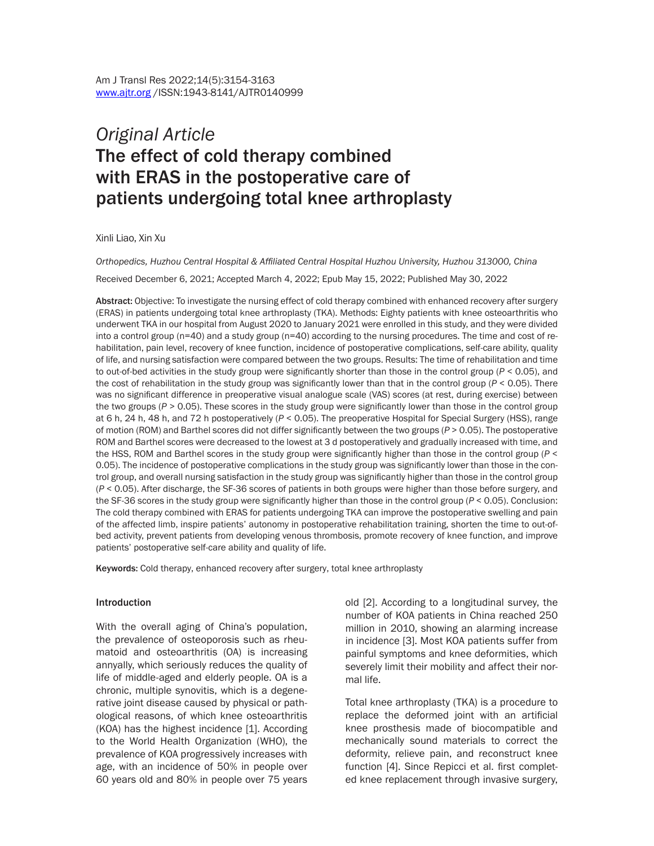# *Original Article* The effect of cold therapy combined with ERAS in the postoperative care of patients undergoing total knee arthroplasty

Xinli Liao, Xin Xu

*Orthopedics, Huzhou Central Hospital & Affiliated Central Hospital Huzhou University, Huzhou 313000, China*

Received December 6, 2021; Accepted March 4, 2022; Epub May 15, 2022; Published May 30, 2022

Abstract: Objective: To investigate the nursing effect of cold therapy combined with enhanced recovery after surgery (ERAS) in patients undergoing total knee arthroplasty (TKA). Methods: Eighty patients with knee osteoarthritis who underwent TKA in our hospital from August 2020 to January 2021 were enrolled in this study, and they were divided into a control group (n=40) and a study group (n=40) according to the nursing procedures. The time and cost of rehabilitation, pain level, recovery of knee function, incidence of postoperative complications, self-care ability, quality of life, and nursing satisfaction were compared between the two groups. Results: The time of rehabilitation and time to out-of-bed activities in the study group were significantly shorter than those in the control group (*P* < 0.05), and the cost of rehabilitation in the study group was significantly lower than that in the control group (*P* < 0.05). There was no significant difference in preoperative visual analogue scale (VAS) scores (at rest, during exercise) between the two groups (*P* > 0.05). These scores in the study group were significantly lower than those in the control group at 6 h, 24 h, 48 h, and 72 h postoperatively (*P* < 0.05). The preoperative Hospital for Special Surgery (HSS), range of motion (ROM) and Barthel scores did not differ significantly between the two groups (*P* > 0.05). The postoperative ROM and Barthel scores were decreased to the lowest at 3 d postoperatively and gradually increased with time, and the HSS, ROM and Barthel scores in the study group were significantly higher than those in the control group (*P* < 0.05). The incidence of postoperative complications in the study group was significantly lower than those in the control group, and overall nursing satisfaction in the study group was significantly higher than those in the control group (*P* < 0.05). After discharge, the SF-36 scores of patients in both groups were higher than those before surgery, and the SF-36 scores in the study group were significantly higher than those in the control group (*P* < 0.05). Conclusion: The cold therapy combined with ERAS for patients undergoing TKA can improve the postoperative swelling and pain of the affected limb, inspire patients' autonomy in postoperative rehabilitation training, shorten the time to out-ofbed activity, prevent patients from developing venous thrombosis, promote recovery of knee function, and improve patients' postoperative self-care ability and quality of life.

Keywords: Cold therapy, enhanced recovery after surgery, total knee arthroplasty

#### Introduction

With the overall aging of China's population, the prevalence of osteoporosis such as rheumatoid and osteoarthritis (OA) is increasing annyally, which seriously reduces the quality of life of middle-aged and elderly people. OA is a chronic, multiple synovitis, which is a degenerative joint disease caused by physical or pathological reasons, of which knee osteoarthritis (KOA) has the highest incidence [1]. According to the World Health Organization (WHO), the prevalence of KOA progressively increases with age, with an incidence of 50% in people over 60 years old and 80% in people over 75 years old [2]. According to a longitudinal survey, the number of KOA patients in China reached 250 million in 2010, showing an alarming increase in incidence [3]. Most KOA patients suffer from painful symptoms and knee deformities, which severely limit their mobility and affect their normal life.

Total knee arthroplasty (TKA) is a procedure to replace the deformed joint with an artificial knee prosthesis made of biocompatible and mechanically sound materials to correct the deformity, relieve pain, and reconstruct knee function [4]. Since Repicci et al. first completed knee replacement through invasive surgery,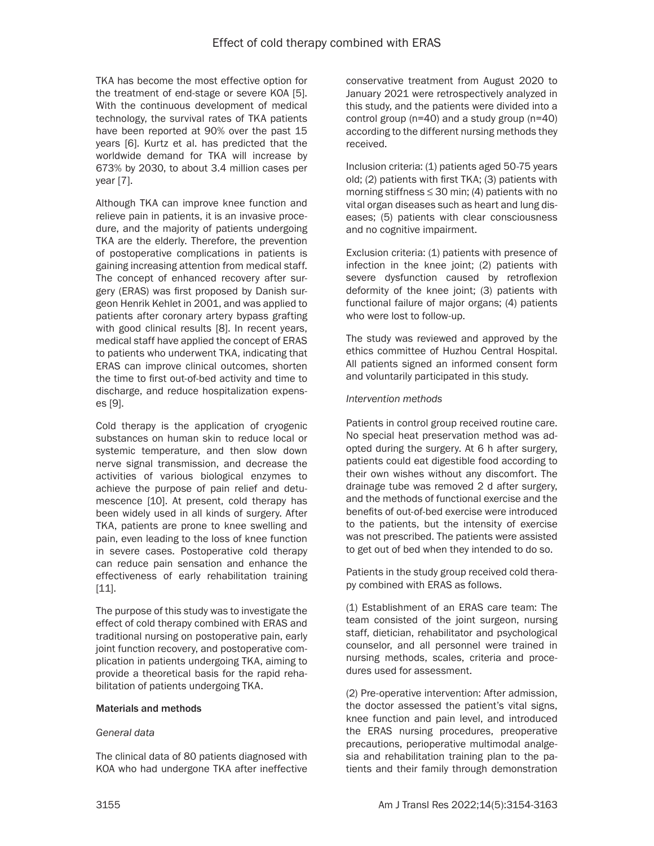TKA has become the most effective option for the treatment of end-stage or severe KOA [5]. With the continuous development of medical technology, the survival rates of TKA patients have been reported at 90% over the past 15 years [6]. Kurtz et al. has predicted that the worldwide demand for TKA will increase by 673% by 2030, to about 3.4 million cases per year [7].

Although TKA can improve knee function and relieve pain in patients, it is an invasive procedure, and the majority of patients undergoing TKA are the elderly. Therefore, the prevention of postoperative complications in patients is gaining increasing attention from medical staff. The concept of enhanced recovery after surgery (ERAS) was first proposed by Danish surgeon Henrik Kehlet in 2001, and was applied to patients after coronary artery bypass grafting with good clinical results [8]. In recent years, medical staff have applied the concept of ERAS to patients who underwent TKA, indicating that ERAS can improve clinical outcomes, shorten the time to first out-of-bed activity and time to discharge, and reduce hospitalization expenses [9].

Cold therapy is the application of cryogenic substances on human skin to reduce local or systemic temperature, and then slow down nerve signal transmission, and decrease the activities of various biological enzymes to achieve the purpose of pain relief and detumescence [10]. At present, cold therapy has been widely used in all kinds of surgery. After TKA, patients are prone to knee swelling and pain, even leading to the loss of knee function in severe cases. Postoperative cold therapy can reduce pain sensation and enhance the effectiveness of early rehabilitation training [11].

The purpose of this study was to investigate the effect of cold therapy combined with ERAS and traditional nursing on postoperative pain, early joint function recovery, and postoperative complication in patients undergoing TKA, aiming to provide a theoretical basis for the rapid rehabilitation of patients undergoing TKA.

## Materials and methods

## *General data*

The clinical data of 80 patients diagnosed with KOA who had undergone TKA after ineffective conservative treatment from August 2020 to January 2021 were retrospectively analyzed in this study, and the patients were divided into a control group (n=40) and a study group (n=40) according to the different nursing methods they received.

Inclusion criteria: (1) patients aged 50-75 years old; (2) patients with first TKA; (3) patients with morning stiffness  $\leq$  30 min; (4) patients with no vital organ diseases such as heart and lung diseases; (5) patients with clear consciousness and no cognitive impairment.

Exclusion criteria: (1) patients with presence of infection in the knee joint; (2) patients with severe dysfunction caused by retroflexion deformity of the knee joint; (3) patients with functional failure of major organs; (4) patients who were lost to follow-up.

The study was reviewed and approved by the ethics committee of Huzhou Central Hospital. All patients signed an informed consent form and voluntarily participated in this study.

#### *Intervention methods*

Patients in control group received routine care. No special heat preservation method was adopted during the surgery. At 6 h after surgery, patients could eat digestible food according to their own wishes without any discomfort. The drainage tube was removed 2 d after surgery, and the methods of functional exercise and the benefits of out-of-bed exercise were introduced to the patients, but the intensity of exercise was not prescribed. The patients were assisted to get out of bed when they intended to do so.

Patients in the study group received cold therapy combined with ERAS as follows.

(1) Establishment of an ERAS care team: The team consisted of the joint surgeon, nursing staff, dietician, rehabilitator and psychological counselor, and all personnel were trained in nursing methods, scales, criteria and procedures used for assessment.

(2) Pre-operative intervention: After admission, the doctor assessed the patient's vital signs, knee function and pain level, and introduced the ERAS nursing procedures, preoperative precautions, perioperative multimodal analgesia and rehabilitation training plan to the patients and their family through demonstration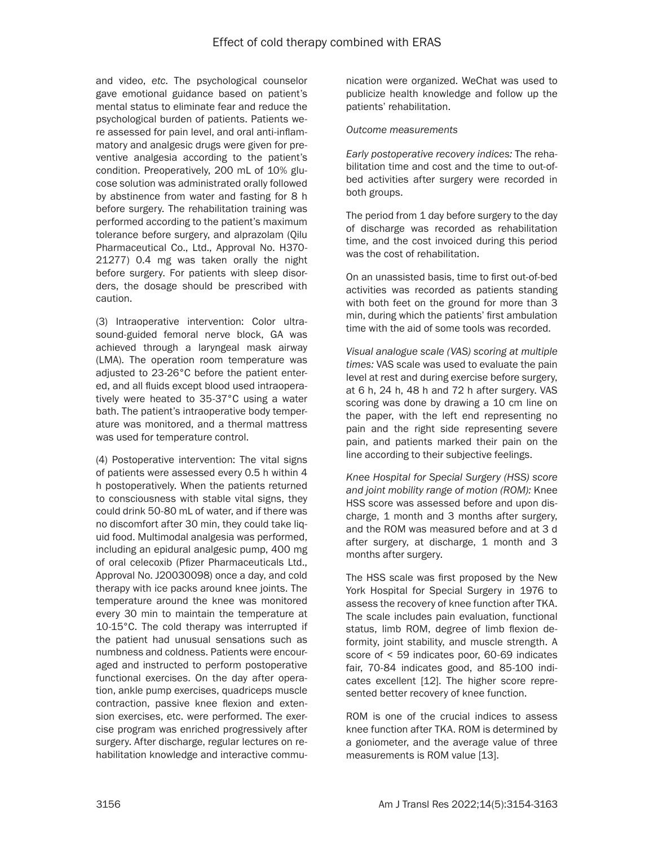and video, *etc*. The psychological counselor gave emotional guidance based on patient's mental status to eliminate fear and reduce the psychological burden of patients. Patients were assessed for pain level, and oral anti-inflammatory and analgesic drugs were given for preventive analgesia according to the patient's condition. Preoperatively, 200 mL of 10% glucose solution was administrated orally followed by abstinence from water and fasting for 8 h before surgery. The rehabilitation training was performed according to the patient's maximum tolerance before surgery, and alprazolam (Qilu Pharmaceutical Co., Ltd., Approval No. H370- 21277) 0.4 mg was taken orally the night before surgery. For patients with sleep disorders, the dosage should be prescribed with caution.

(3) Intraoperative intervention: Color ultrasound-guided femoral nerve block, GA was achieved through a laryngeal mask airway (LMA). The operation room temperature was adjusted to 23-26°C before the patient entered, and all fluids except blood used intraoperatively were heated to 35-37°C using a water bath. The patient's intraoperative body temperature was monitored, and a thermal mattress was used for temperature control.

(4) Postoperative intervention: The vital signs of patients were assessed every 0.5 h within 4 h postoperatively. When the patients returned to consciousness with stable vital signs, they could drink 50-80 mL of water, and if there was no discomfort after 30 min, they could take liquid food. Multimodal analgesia was performed, including an epidural analgesic pump, 400 mg of oral celecoxib (Pfizer Pharmaceuticals Ltd., Approval No. J20030098) once a day, and cold therapy with ice packs around knee joints. The temperature around the knee was monitored every 30 min to maintain the temperature at 10-15°C. The cold therapy was interrupted if the patient had unusual sensations such as numbness and coldness. Patients were encouraged and instructed to perform postoperative functional exercises. On the day after operation, ankle pump exercises, quadriceps muscle contraction, passive knee flexion and extension exercises, etc. were performed. The exercise program was enriched progressively after surgery. After discharge, regular lectures on rehabilitation knowledge and interactive communication were organized. WeChat was used to publicize health knowledge and follow up the patients' rehabilitation.

## *Outcome measurements*

*Early postoperative recovery indices:* The rehabilitation time and cost and the time to out-ofbed activities after surgery were recorded in both groups.

The period from 1 day before surgery to the day of discharge was recorded as rehabilitation time, and the cost invoiced during this period was the cost of rehabilitation.

On an unassisted basis, time to first out-of-bed activities was recorded as patients standing with both feet on the ground for more than 3 min, during which the patients' first ambulation time with the aid of some tools was recorded.

*Visual analogue scale (VAS) scoring at multiple times:* VAS scale was used to evaluate the pain level at rest and during exercise before surgery, at 6 h, 24 h, 48 h and 72 h after surgery. VAS scoring was done by drawing a 10 cm line on the paper, with the left end representing no pain and the right side representing severe pain, and patients marked their pain on the line according to their subjective feelings.

*Knee Hospital for Special Surgery (HSS) score and joint mobility range of motion (ROM):* Knee HSS score was assessed before and upon discharge, 1 month and 3 months after surgery, and the ROM was measured before and at 3 d after surgery, at discharge, 1 month and 3 months after surgery.

The HSS scale was first proposed by the New York Hospital for Special Surgery in 1976 to assess the recovery of knee function after TKA. The scale includes pain evaluation, functional status, limb ROM, degree of limb flexion deformity, joint stability, and muscle strength. A score of < 59 indicates poor, 60-69 indicates fair, 70-84 indicates good, and 85-100 indicates excellent [12]. The higher score represented better recovery of knee function.

ROM is one of the crucial indices to assess knee function after TKA. ROM is determined by a goniometer, and the average value of three measurements is ROM value [13].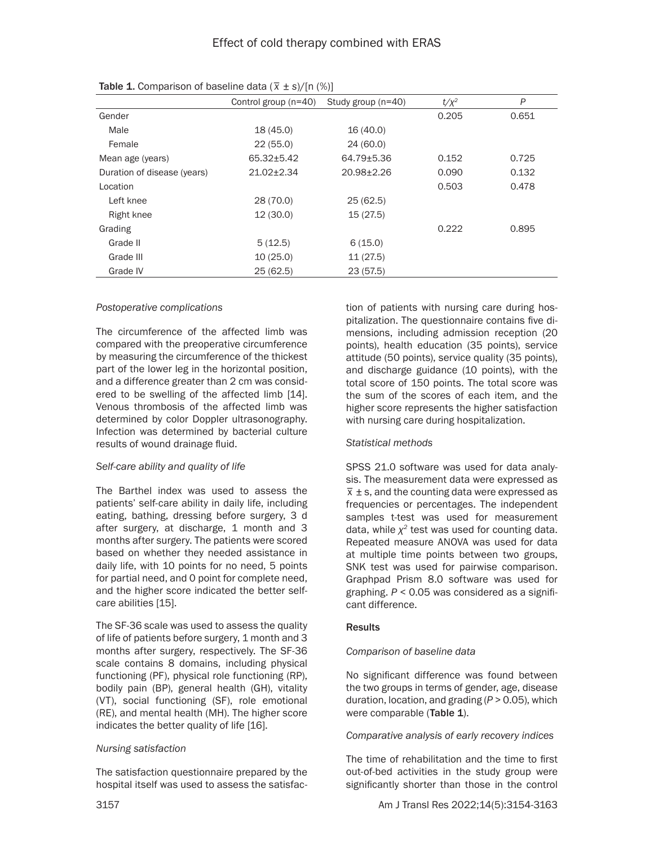|                             | Control group $(n=40)$ | Study group (n=40) | $t/x^2$ | P     |
|-----------------------------|------------------------|--------------------|---------|-------|
| Gender                      |                        |                    | 0.205   | 0.651 |
| Male                        | 18 (45.0)              | 16 (40.0)          |         |       |
| Female                      | 22(55.0)               | 24(60.0)           |         |       |
| Mean age (years)            | 65.32±5.42             | 64.79±5.36         | 0.152   | 0.725 |
| Duration of disease (years) | $21.02 \pm 2.34$       | 20.98±2.26         | 0.090   | 0.132 |
| Location                    |                        |                    | 0.503   | 0.478 |
| Left knee                   | 28 (70.0)              | 25(62.5)           |         |       |
| Right knee                  | 12(30.0)               | 15(27.5)           |         |       |
| Grading                     |                        |                    | 0.222   | 0.895 |
| Grade II                    | 5(12.5)                | 6(15.0)            |         |       |
| Grade III                   | 10(25.0)               | 11(27.5)           |         |       |
| Grade IV                    | 25(62.5)               | 23(57.5)           |         |       |

Table 1. Comparison of baseline data (*\_ x* ± *s*)/[n (%)]

## *Postoperative complications*

The circumference of the affected limb was compared with the preoperative circumference by measuring the circumference of the thickest part of the lower leg in the horizontal position, and a difference greater than 2 cm was considered to be swelling of the affected limb [14]. Venous thrombosis of the affected limb was determined by color Doppler ultrasonography. Infection was determined by bacterial culture results of wound drainage fluid.

## *Self-care ability and quality of life*

The Barthel index was used to assess the patients' self-care ability in daily life, including eating, bathing, dressing before surgery, 3 d after surgery, at discharge, 1 month and 3 months after surgery. The patients were scored based on whether they needed assistance in daily life, with 10 points for no need, 5 points for partial need, and 0 point for complete need, and the higher score indicated the better selfcare abilities [15].

The SF-36 scale was used to assess the quality of life of patients before surgery, 1 month and 3 months after surgery, respectively. The SF-36 scale contains 8 domains, including physical functioning (PF), physical role functioning (RP), bodily pain (BP), general health (GH), vitality (VT), social functioning (SF), role emotional (RE), and mental health (MH). The higher score indicates the better quality of life [16].

## *Nursing satisfaction*

The satisfaction questionnaire prepared by the hospital itself was used to assess the satisfaction of patients with nursing care during hospitalization. The questionnaire contains five dimensions, including admission reception (20 points), health education (35 points), service attitude (50 points), service quality (35 points), and discharge guidance (10 points), with the total score of 150 points. The total score was the sum of the scores of each item, and the higher score represents the higher satisfaction with nursing care during hospitalization.

## *Statistical methods*

SPSS 21.0 software was used for data analysis. The measurement data were expressed as  $\overline{x}$  ± s, and the counting data were expressed as  $\overline{x}$  ± s, and the counting data were expressed as frequencies or percentages. The independent samples t-test was used for measurement data, while *χ<sup>2</sup>* test was used for counting data. Repeated measure ANOVA was used for data at multiple time points between two groups, SNK test was used for pairwise comparison. Graphpad Prism 8.0 software was used for graphing. *P* < 0.05 was considered as a significant difference.

## **Results**

## *Comparison of baseline data*

No significant difference was found between the two groups in terms of gender, age, disease duration, location, and grading (*P* > 0.05), which were comparable (Table 1).

*Comparative analysis of early recovery indices*

The time of rehabilitation and the time to first out-of-bed activities in the study group were significantly shorter than those in the control

3157 Am J Transl Res 2022;14(5):3154-3163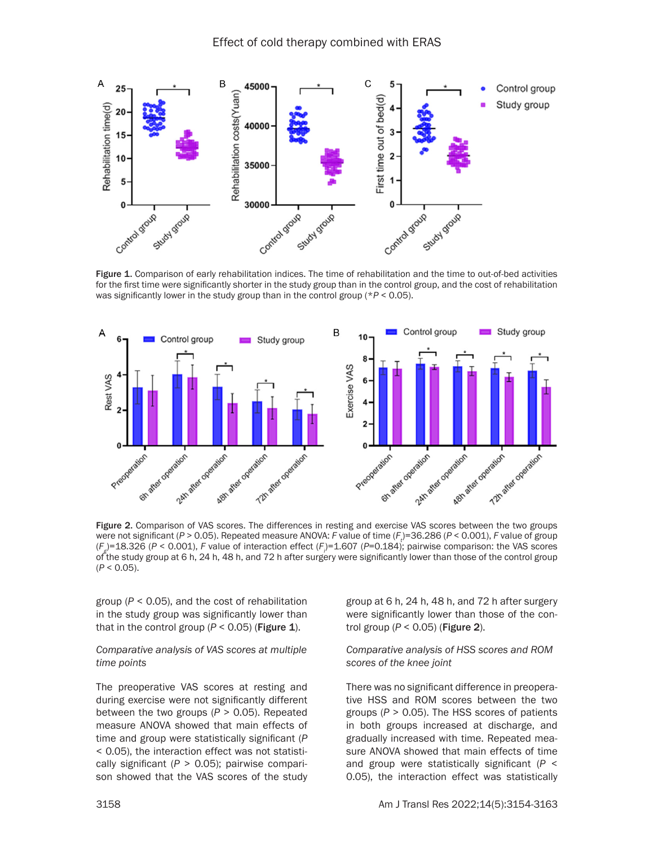

Figure 1. Comparison of early rehabilitation indices. The time of rehabilitation and the time to out-of-bed activities for the first time were significantly shorter in the study group than in the control group, and the cost of rehabilitation was significantly lower in the study group than in the control group (\**P* < 0.05).



Figure 2. Comparison of VAS scores. The differences in resting and exercise VAS scores between the two groups were not significant (*P* > 0.05). Repeated measure ANOVA: *F* value of time (*F*<sub>t</sub>)=36.286 (*P* < 0.001), *F* value of group (*Fg* )=18.326 (*P* < 0.001), *F* value of interaction effect (*Fi* )=1.607 (*P*=0.184); pairwise comparison: the VAS scores of the study group at 6 h, 24 h, 48 h, and 72 h after surgery were significantly lower than those of the control group (*P* < 0.05).

group (*P* < 0.05), and the cost of rehabilitation in the study group was significantly lower than that in the control group  $(P < 0.05)$  (Figure 1).

## *Comparative analysis of VAS scores at multiple time points*

The preoperative VAS scores at resting and during exercise were not significantly different between the two groups (*P* > 0.05). Repeated measure ANOVA showed that main effects of time and group were statistically significant (*P* < 0.05), the interaction effect was not statistically significant (*P* > 0.05); pairwise comparison showed that the VAS scores of the study group at 6 h, 24 h, 48 h, and 72 h after surgery were significantly lower than those of the control group (*P* < 0.05) (Figure 2).

## *Comparative analysis of HSS scores and ROM scores of the knee joint*

There was no significant difference in preoperative HSS and ROM scores between the two groups (*P* > 0.05). The HSS scores of patients in both groups increased at discharge, and gradually increased with time. Repeated measure ANOVA showed that main effects of time and group were statistically significant (*P* < 0.05), the interaction effect was statistically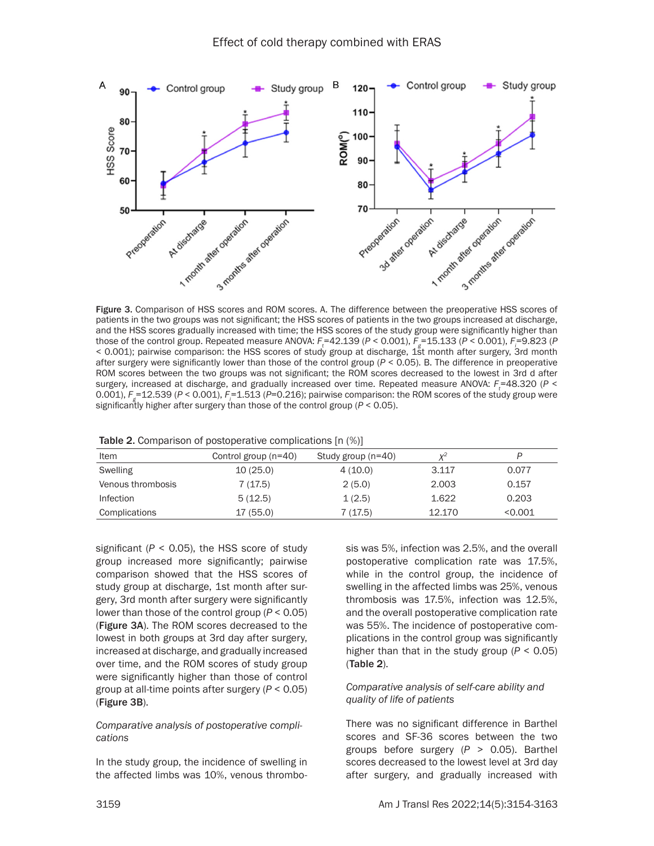

Figure 3. Comparison of HSS scores and ROM scores. A. The difference between the preoperative HSS scores of patients in the two groups was not significant; the HSS scores of patients in the two groups increased at discharge, and the HSS scores gradually increased with time; the HSS scores of the study group were significantly higher than those of the control group. Repeated measure ANOVA:  $F_t$ =42.139 (*P* < 0.001),  $F_g$ =15.133 (*P* < 0.001),  $F_i$ =9.823 (*P* < 0.001); pairwise comparison: the HSS scores of study group at discharge, 1st month after surgery, 3rd month after surgery were significantly lower than those of the control group (*P* < 0.05). B. The difference in preoperative ROM scores between the two groups was not significant; the ROM scores decreased to the lowest in 3rd d after surgery, increased at discharge, and gradually increased over time. Repeated measure ANOVA:  $F_t$ =48.320 (P < 0.001),  $F_g$ =12.539 (*P* < 0.001),  $F_i$ =1.513 (*P*=0.216); pairwise comparison: the ROM scores of the study group were significantly higher after surgery than those of the control group (*P* < 0.05).

| Item              | Control group (n=40) | Study group (n=40) | $V^2$  |         |
|-------------------|----------------------|--------------------|--------|---------|
| Swelling          | 10(25.0)             | 4(10.0)            | 3.117  | 0.077   |
| Venous thrombosis | 7(17.5)              | 2(5.0)             | 2.003  | 0.157   |
| Infection         | 5(12.5)              | 1(2.5)             | 1.622  | 0.203   |
| Complications     | 17 (55.0)            | 7 (17.5)           | 12.170 | < 0.001 |

|  |  |  |  | <b>Table 2.</b> Comparison of postoperative complications [n (%)] |  |  |
|--|--|--|--|-------------------------------------------------------------------|--|--|
|--|--|--|--|-------------------------------------------------------------------|--|--|

significant  $(P < 0.05)$ , the HSS score of study group increased more significantly; pairwise comparison showed that the HSS scores of study group at discharge, 1st month after surgery, 3rd month after surgery were significantly lower than those of the control group (*P* < 0.05) (Figure 3A). The ROM scores decreased to the lowest in both groups at 3rd day after surgery, increased at discharge, and gradually increased over time, and the ROM scores of study group were significantly higher than those of control group at all-time points after surgery (*P* < 0.05) (Figure 3B).

## *Comparative analysis of postoperative complications*

In the study group, the incidence of swelling in the affected limbs was 10%, venous thrombosis was 5%, infection was 2.5%, and the overall postoperative complication rate was 17.5%, while in the control group, the incidence of swelling in the affected limbs was 25%, venous thrombosis was 17.5%, infection was 12.5%, and the overall postoperative complication rate was 55%. The incidence of postoperative complications in the control group was significantly higher than that in the study group (*P* < 0.05) (Table 2).

## *Comparative analysis of self-care ability and quality of life of patients*

There was no significant difference in Barthel scores and SF-36 scores between the two groups before surgery (*P* > 0.05). Barthel scores decreased to the lowest level at 3rd day after surgery, and gradually increased with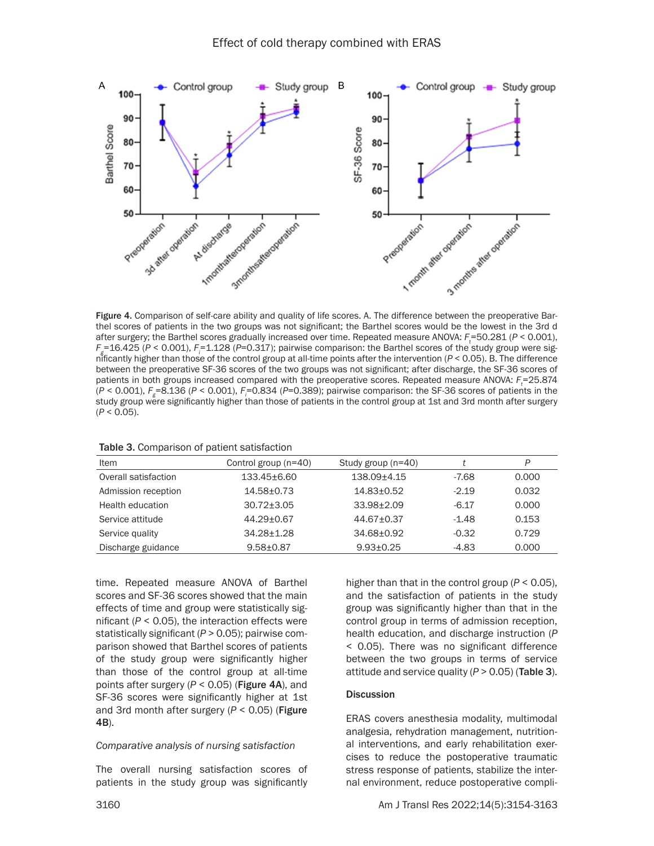

Figure 4. Comparison of self-care ability and quality of life scores. A. The difference between the preoperative Barthel scores of patients in the two groups was not significant; the Barthel scores would be the lowest in the 3rd d after surgery; the Barthel scores gradually increased over time. Repeated measure ANOVA:  $F_t$ =50.281 (*P* < 0.001), *F*<sub>g</sub>=16.425 (*P* < 0.001), *F*<sub>i</sub>=1.128 (*P*=0.317); pairwise comparison: the Barthel scores of the study group were significantly higher than those of the control group at all-time points after the intervention (*P* < 0.05). B. The difference between the preoperative SF-36 scores of the two groups was not significant; after discharge, the SF-36 scores of patients in both groups increased compared with the preoperative scores. Repeated measure ANOVA:  $F_t$ =25.874 (*P* < 0.001), *Fg* =8.136 (*P* < 0.001), *Fi* =0.834 (*P*=0.389); pairwise comparison: the SF-36 scores of patients in the study group were significantly higher than those of patients in the control group at 1st and 3rd month after surgery (*P* < 0.05).

| Item                 | Control group (n=40) | Study group (n=40) |         | P     |
|----------------------|----------------------|--------------------|---------|-------|
| Overall satisfaction | $133.45 + 6.60$      | $138.09 + 4.15$    | $-7.68$ | 0.000 |
| Admission reception  | $14.58 + 0.73$       | $14.83 + 0.52$     | $-2.19$ | 0.032 |
| Health education     | $30.72 + 3.05$       | $33.98 + 2.09$     | $-6.17$ | 0.000 |
| Service attitude     | $44.29 + 0.67$       | $44.67 + 0.37$     | $-1.48$ | 0.153 |
| Service quality      | $34.28 + 1.28$       | 34.68+0.92         | $-0.32$ | 0.729 |
| Discharge guidance   | $9.58 + 0.87$        | $9.93 + 0.25$      | $-4.83$ | 0.000 |

time. Repeated measure ANOVA of Barthel scores and SF-36 scores showed that the main effects of time and group were statistically significant  $(P < 0.05)$ , the interaction effects were statistically significant (*P* > 0.05); pairwise comparison showed that Barthel scores of patients of the study group were significantly higher than those of the control group at all-time points after surgery (*P* < 0.05) (Figure 4A), and SF-36 scores were significantly higher at 1st and 3rd month after surgery (*P* < 0.05) (Figure 4B).

#### *Comparative analysis of nursing satisfaction*

The overall nursing satisfaction scores of patients in the study group was significantly higher than that in the control group (*P* < 0.05), and the satisfaction of patients in the study group was significantly higher than that in the control group in terms of admission reception, health education, and discharge instruction (*P* < 0.05). There was no significant difference between the two groups in terms of service attitude and service quality  $(P > 0.05)$  (Table 3).

#### **Discussion**

ERAS covers anesthesia modality, multimodal analgesia, rehydration management, nutritional interventions, and early rehabilitation exercises to reduce the postoperative traumatic stress response of patients, stabilize the internal environment, reduce postoperative compli-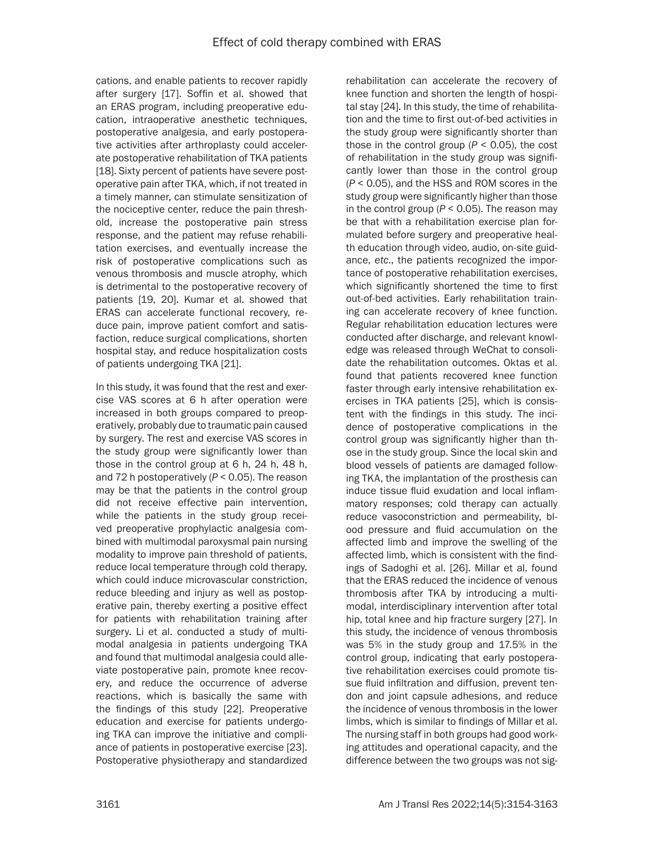cations, and enable patients to recover rapidly after surgery [17]. Soffin et al. showed that an ERAS program, including preoperative education, intraoperative anesthetic techniques, postoperative analgesia, and early postoperative activities after arthroplasty could accelerate postoperative rehabilitation of TKA patients [18]. Sixty percent of patients have severe postoperative pain after TKA, which, if not treated in a timely manner, can stimulate sensitization of the nociceptive center, reduce the pain threshold, increase the postoperative pain stress response, and the patient may refuse rehabilitation exercises, and eventually increase the risk of postoperative complications such as venous thrombosis and muscle atrophy, which is detrimental to the postoperative recovery of patients [19, 20]. Kumar et al. showed that ERAS can accelerate functional recovery, reduce pain, improve patient comfort and satisfaction, reduce surgical complications, shorten hospital stay, and reduce hospitalization costs of patients undergoing TKA [21].

In this study, it was found that the rest and exercise VAS scores at 6 h after operation were increased in both groups compared to preoperatively, probably due to traumatic pain caused by surgery. The rest and exercise VAS scores in the study group were significantly lower than those in the control group at 6 h, 24 h, 48 h, and 72 h postoperatively (*P* < 0.05). The reason may be that the patients in the control group did not receive effective pain intervention, while the patients in the study group received preoperative prophylactic analgesia combined with multimodal paroxysmal pain nursing modality to improve pain threshold of patients, reduce local temperature through cold therapy, which could induce microvascular constriction, reduce bleeding and injury as well as postoperative pain, thereby exerting a positive effect for patients with rehabilitation training after surgery. Li et al. conducted a study of multimodal analgesia in patients undergoing TKA and found that multimodal analgesia could alleviate postoperative pain, promote knee recovery, and reduce the occurrence of adverse reactions, which is basically the same with the findings of this study [22]. Preoperative education and exercise for patients undergoing TKA can improve the initiative and compliance of patients in postoperative exercise [23]. Postoperative physiotherapy and standardized

knee function and shorten the length of hospital stay [24]. In this study, the time of rehabilitation and the time to first out-of-bed activities in the study group were significantly shorter than those in the control group  $(P < 0.05)$ , the cost of rehabilitation in the study group was significantly lower than those in the control group (*P* < 0.05), and the HSS and ROM scores in the study group were significantly higher than those in the control group  $(P < 0.05)$ . The reason may be that with a rehabilitation exercise plan formulated before surgery and preoperative health education through video, audio, on-site guidance, *etc*., the patients recognized the importance of postoperative rehabilitation exercises, which significantly shortened the time to first out-of-bed activities. Early rehabilitation training can accelerate recovery of knee function. Regular rehabilitation education lectures were conducted after discharge, and relevant knowledge was released through WeChat to consolidate the rehabilitation outcomes. Oktas et al. found that patients recovered knee function faster through early intensive rehabilitation exercises in TKA patients [25], which is consistent with the findings in this study. The incidence of postoperative complications in the control group was significantly higher than those in the study group. Since the local skin and blood vessels of patients are damaged following TKA, the implantation of the prosthesis can induce tissue fluid exudation and local inflammatory responses; cold therapy can actually reduce vasoconstriction and permeability, blood pressure and fluid accumulation on the affected limb and improve the swelling of the affected limb, which is consistent with the findings of Sadoghi et al. [26]. Millar et al. found that the ERAS reduced the incidence of venous thrombosis after TKA by introducing a multimodal, interdisciplinary intervention after total hip, total knee and hip fracture surgery [27]. In this study, the incidence of venous thrombosis was 5% in the study group and 17.5% in the control group, indicating that early postoperative rehabilitation exercises could promote tissue fluid infiltration and diffusion, prevent tendon and joint capsule adhesions, and reduce the incidence of venous thrombosis in the lower limbs, which is similar to findings of Millar et al. The nursing staff in both groups had good working attitudes and operational capacity, and the difference between the two groups was not sig-

rehabilitation can accelerate the recovery of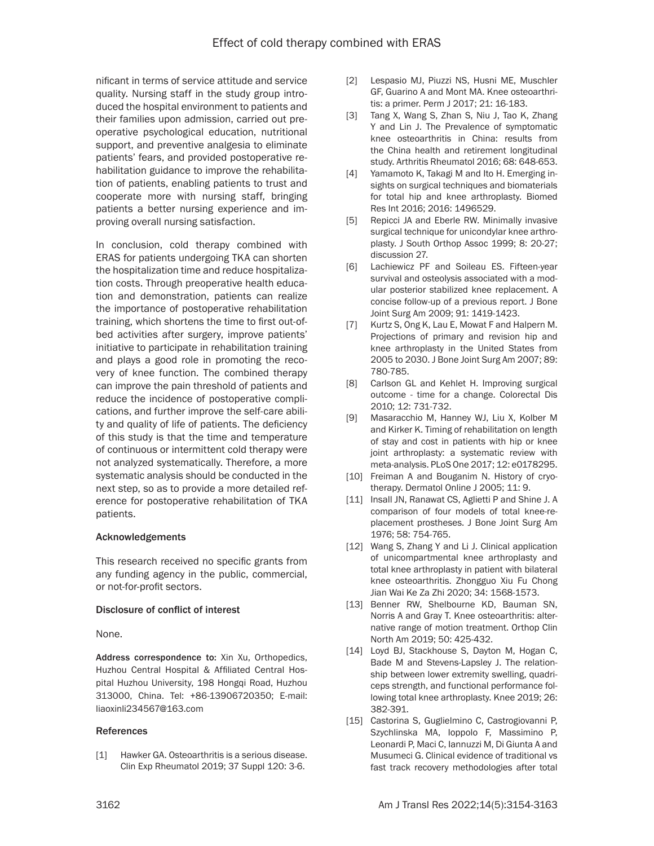nificant in terms of service attitude and service quality. Nursing staff in the study group introduced the hospital environment to patients and their families upon admission, carried out preoperative psychological education, nutritional support, and preventive analgesia to eliminate patients' fears, and provided postoperative rehabilitation guidance to improve the rehabilitation of patients, enabling patients to trust and cooperate more with nursing staff, bringing patients a better nursing experience and improving overall nursing satisfaction.

In conclusion, cold therapy combined with ERAS for patients undergoing TKA can shorten the hospitalization time and reduce hospitalization costs. Through preoperative health education and demonstration, patients can realize the importance of postoperative rehabilitation training, which shortens the time to first out-ofbed activities after surgery, improve patients' initiative to participate in rehabilitation training and plays a good role in promoting the recovery of knee function. The combined therapy can improve the pain threshold of patients and reduce the incidence of postoperative complications, and further improve the self-care ability and quality of life of patients. The deficiency of this study is that the time and temperature of continuous or intermittent cold therapy were not analyzed systematically. Therefore, a more systematic analysis should be conducted in the next step, so as to provide a more detailed reference for postoperative rehabilitation of TKA patients.

## Acknowledgements

This research received no specific grants from any funding agency in the public, commercial, or not-for-profit sectors.

#### Disclosure of conflict of interest

None.

Address correspondence to: Xin Xu, Orthopedics, Huzhou Central Hospital & Affiliated Central Hospital Huzhou University, 198 Hongqi Road, Huzhou 313000, China. Tel: +86-13906720350; E-mail: liaoxinli234567@163.com

#### References

[1] Hawker GA. Osteoarthritis is a serious disease. Clin Exp Rheumatol 2019; 37 Suppl 120: 3-6.

- [2] Lespasio MJ, Piuzzi NS, Husni ME, Muschler GF, Guarino A and Mont MA. Knee osteoarthritis: a primer. Perm J 2017; 21: 16-183.
- [3] Tang X, Wang S, Zhan S, Niu J, Tao K, Zhang Y and Lin J. The Prevalence of symptomatic knee osteoarthritis in China: results from the China health and retirement longitudinal study. Arthritis Rheumatol 2016; 68: 648-653.
- [4] Yamamoto K, Takagi M and Ito H. Emerging insights on surgical techniques and biomaterials for total hip and knee arthroplasty. Biomed Res Int 2016; 2016: 1496529.
- [5] Repicci JA and Eberle RW. Minimally invasive surgical technique for unicondylar knee arthroplasty. J South Orthop Assoc 1999; 8: 20-27; discussion 27.
- [6] Lachiewicz PF and Soileau ES. Fifteen-year survival and osteolysis associated with a modular posterior stabilized knee replacement. A concise follow-up of a previous report. J Bone Joint Surg Am 2009; 91: 1419-1423.
- [7] Kurtz S, Ong K, Lau E, Mowat F and Halpern M. Projections of primary and revision hip and knee arthroplasty in the United States from 2005 to 2030. J Bone Joint Surg Am 2007; 89: 780-785.
- [8] Carlson GL and Kehlet H. Improving surgical outcome - time for a change. Colorectal Dis 2010; 12: 731-732.
- [9] Masaracchio M, Hanney WJ, Liu X, Kolber M and Kirker K. Timing of rehabilitation on length of stay and cost in patients with hip or knee joint arthroplasty: a systematic review with meta-analysis. PLoS One 2017; 12: e0178295.
- [10] Freiman A and Bouganim N. History of cryotherapy. Dermatol Online J 2005; 11: 9.
- [11] Insall JN, Ranawat CS, Aglietti P and Shine J. A comparison of four models of total knee-replacement prostheses. J Bone Joint Surg Am 1976; 58: 754-765.
- [12] Wang S, Zhang Y and Li J. Clinical application of unicompartmental knee arthroplasty and total knee arthroplasty in patient with bilateral knee osteoarthritis. Zhongguo Xiu Fu Chong Jian Wai Ke Za Zhi 2020; 34: 1568-1573.
- [13] Benner RW, Shelbourne KD, Bauman SN, Norris A and Gray T. Knee osteoarthritis: alternative range of motion treatment. Orthop Clin North Am 2019; 50: 425-432.
- [14] Loyd BJ, Stackhouse S, Dayton M, Hogan C, Bade M and Stevens-Lapsley J. The relationship between lower extremity swelling, quadriceps strength, and functional performance following total knee arthroplasty. Knee 2019; 26: 382-391.
- [15] Castorina S, Guglielmino C, Castrogiovanni P, Szychlinska MA, Ioppolo F, Massimino P, Leonardi P, Maci C, Iannuzzi M, Di Giunta A and Musumeci G. Clinical evidence of traditional vs fast track recovery methodologies after total